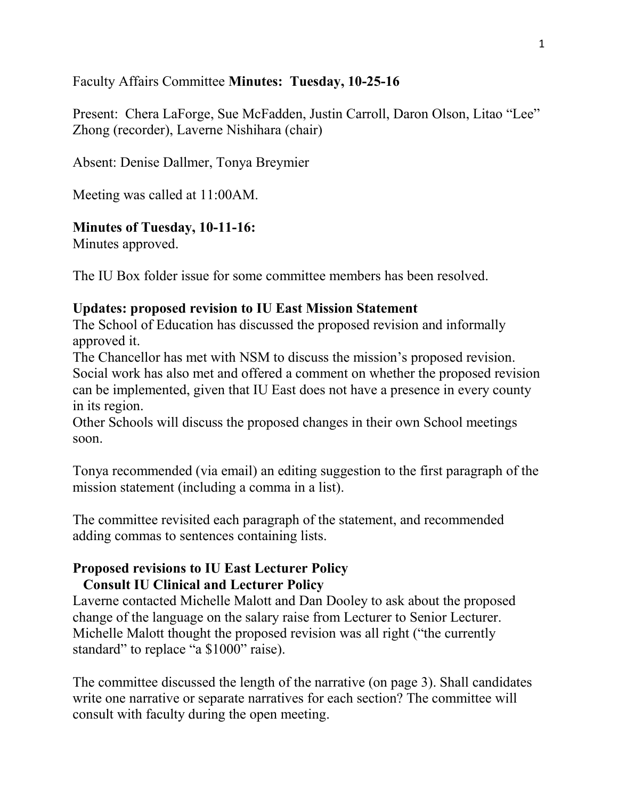### Faculty Affairs Committee **Minutes: Tuesday, 10-25-16**

Present: Chera LaForge, Sue McFadden, Justin Carroll, Daron Olson, Litao "Lee" Zhong (recorder), Laverne Nishihara (chair)

Absent: Denise Dallmer, Tonya Breymier

Meeting was called at 11:00AM.

### **Minutes of Tuesday, 10-11-16:**

Minutes approved.

The IU Box folder issue for some committee members has been resolved.

#### **Updates: proposed revision to IU East Mission Statement**

The School of Education has discussed the proposed revision and informally approved it.

The Chancellor has met with NSM to discuss the mission's proposed revision. Social work has also met and offered a comment on whether the proposed revision can be implemented, given that IU East does not have a presence in every county in its region.

Other Schools will discuss the proposed changes in their own School meetings soon.

Tonya recommended (via email) an editing suggestion to the first paragraph of the mission statement (including a comma in a list).

The committee revisited each paragraph of the statement, and recommended adding commas to sentences containing lists.

# **Proposed revisions to IU East Lecturer Policy**

## **Consult IU Clinical and Lecturer Policy**

Laverne contacted Michelle Malott and Dan Dooley to ask about the proposed change of the language on the salary raise from Lecturer to Senior Lecturer. Michelle Malott thought the proposed revision was all right ("the currently standard" to replace "a \$1000" raise).

The committee discussed the length of the narrative (on page 3). Shall candidates write one narrative or separate narratives for each section? The committee will consult with faculty during the open meeting.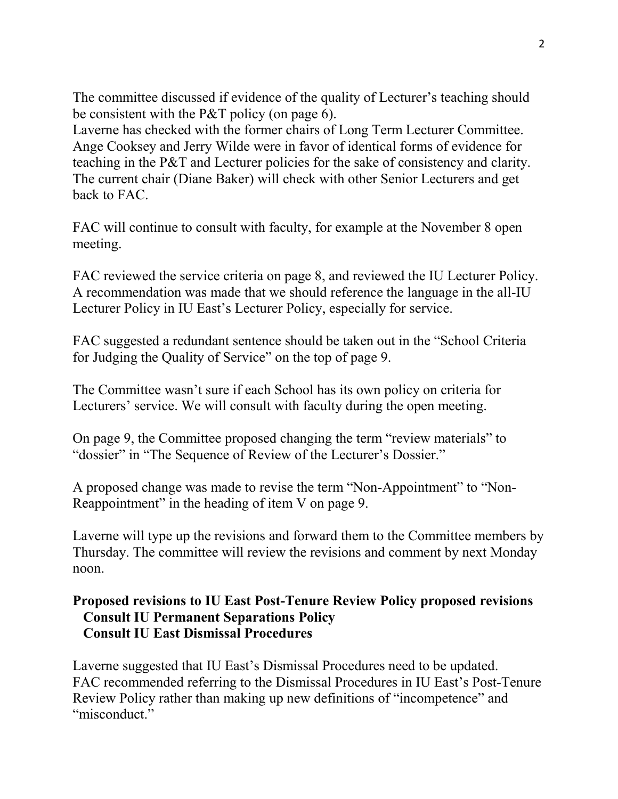The committee discussed if evidence of the quality of Lecturer's teaching should be consistent with the P&T policy (on page 6).

Laverne has checked with the former chairs of Long Term Lecturer Committee. Ange Cooksey and Jerry Wilde were in favor of identical forms of evidence for teaching in the P&T and Lecturer policies for the sake of consistency and clarity. The current chair (Diane Baker) will check with other Senior Lecturers and get back to FAC.

FAC will continue to consult with faculty, for example at the November 8 open meeting.

FAC reviewed the service criteria on page 8, and reviewed the IU Lecturer Policy. A recommendation was made that we should reference the language in the all-IU Lecturer Policy in IU East's Lecturer Policy, especially for service.

FAC suggested a redundant sentence should be taken out in the "School Criteria for Judging the Quality of Service" on the top of page 9.

The Committee wasn't sure if each School has its own policy on criteria for Lecturers' service. We will consult with faculty during the open meeting.

On page 9, the Committee proposed changing the term "review materials" to "dossier" in "The Sequence of Review of the Lecturer's Dossier."

A proposed change was made to revise the term "Non-Appointment" to "Non-Reappointment" in the heading of item V on page 9.

Laverne will type up the revisions and forward them to the Committee members by Thursday. The committee will review the revisions and comment by next Monday noon.

### **Proposed revisions to IU East Post-Tenure Review Policy proposed revisions Consult IU Permanent Separations Policy Consult IU East Dismissal Procedures**

Laverne suggested that IU East's Dismissal Procedures need to be updated. FAC recommended referring to the Dismissal Procedures in IU East's Post-Tenure Review Policy rather than making up new definitions of "incompetence" and "misconduct."